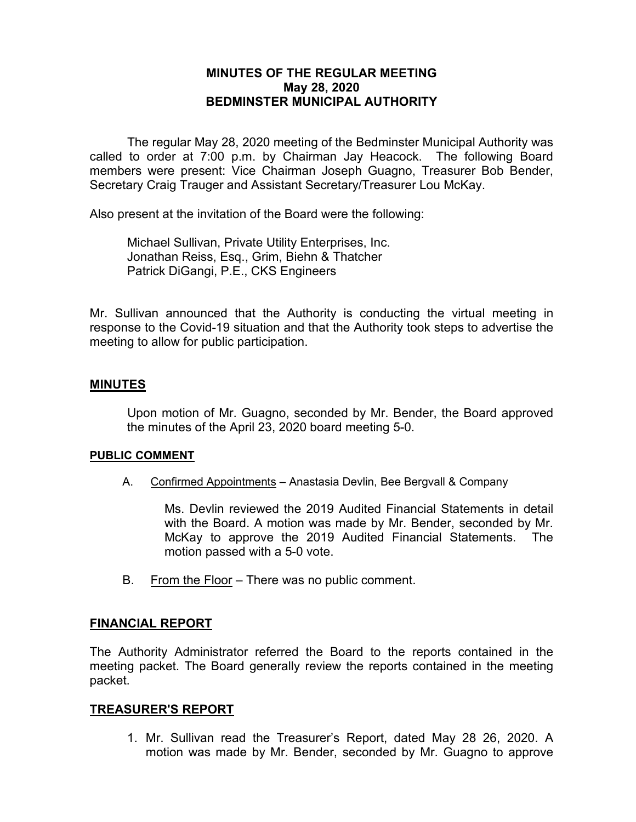# **MINUTES OF THE REGULAR MEETING May 28, 2020 BEDMINSTER MUNICIPAL AUTHORITY**

The regular May 28, 2020 meeting of the Bedminster Municipal Authority was called to order at 7:00 p.m. by Chairman Jay Heacock. The following Board members were present: Vice Chairman Joseph Guagno, Treasurer Bob Bender, Secretary Craig Trauger and Assistant Secretary/Treasurer Lou McKay.

Also present at the invitation of the Board were the following:

Michael Sullivan, Private Utility Enterprises, Inc. Jonathan Reiss, Esq., Grim, Biehn & Thatcher Patrick DiGangi, P.E., CKS Engineers

Mr. Sullivan announced that the Authority is conducting the virtual meeting in response to the Covid-19 situation and that the Authority took steps to advertise the meeting to allow for public participation.

#### **MINUTES**

Upon motion of Mr. Guagno, seconded by Mr. Bender, the Board approved the minutes of the April 23, 2020 board meeting 5-0.

#### **PUBLIC COMMENT**

A. Confirmed Appointments – Anastasia Devlin, Bee Bergvall & Company

Ms. Devlin reviewed the 2019 Audited Financial Statements in detail with the Board. A motion was made by Mr. Bender, seconded by Mr. McKay to approve the 2019 Audited Financial Statements. The motion passed with a 5-0 vote.

B. From the Floor – There was no public comment.

#### **FINANCIAL REPORT**

The Authority Administrator referred the Board to the reports contained in the meeting packet. The Board generally review the reports contained in the meeting packet.

#### **TREASURER'S REPORT**

1. Mr. Sullivan read the Treasurer's Report, dated May 28 26, 2020. A motion was made by Mr. Bender, seconded by Mr. Guagno to approve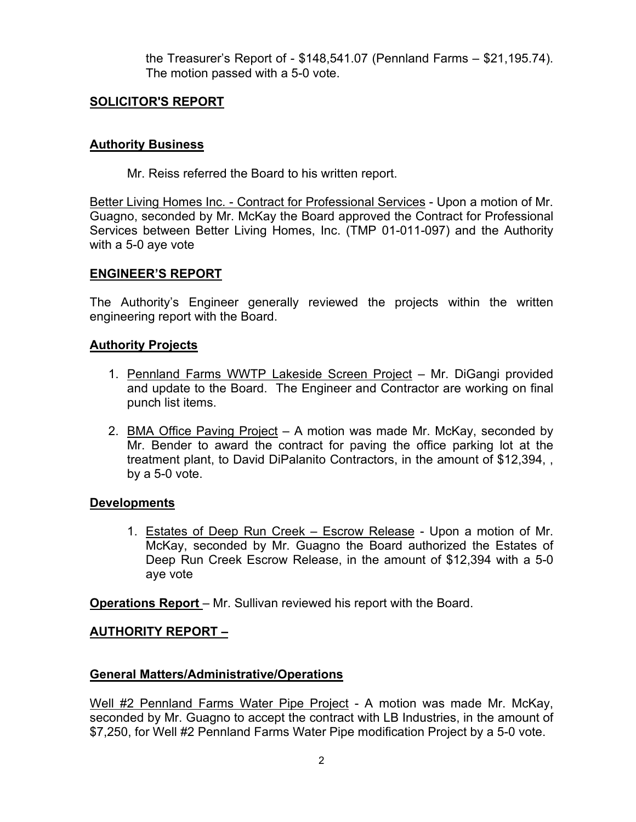the Treasurer's Report of - \$148,541.07 (Pennland Farms – \$21,195.74). The motion passed with a 5-0 vote.

# **SOLICITOR'S REPORT**

# **Authority Business**

Mr. Reiss referred the Board to his written report.

Better Living Homes Inc. - Contract for Professional Services - Upon a motion of Mr. Guagno, seconded by Mr. McKay the Board approved the Contract for Professional Services between Better Living Homes, Inc. (TMP 01-011-097) and the Authority with a 5-0 aye vote

### **ENGINEER'S REPORT**

The Authority's Engineer generally reviewed the projects within the written engineering report with the Board.

### **Authority Projects**

- 1. Pennland Farms WWTP Lakeside Screen Project Mr. DiGangi provided and update to the Board. The Engineer and Contractor are working on final punch list items.
- 2. BMA Office Paving Project A motion was made Mr. McKay, seconded by Mr. Bender to award the contract for paving the office parking lot at the treatment plant, to David DiPalanito Contractors, in the amount of \$12,394, , by a 5-0 vote.

### **Developments**

1. Estates of Deep Run Creek – Escrow Release - Upon a motion of Mr. McKay, seconded by Mr. Guagno the Board authorized the Estates of Deep Run Creek Escrow Release, in the amount of \$12,394 with a 5-0 aye vote

**Operations Report** – Mr. Sullivan reviewed his report with the Board.

### **AUTHORITY REPORT –**

### **General Matters/Administrative/Operations**

Well #2 Pennland Farms Water Pipe Project - A motion was made Mr. McKay, seconded by Mr. Guagno to accept the contract with LB Industries, in the amount of \$7,250, for Well #2 Pennland Farms Water Pipe modification Project by a 5-0 vote.